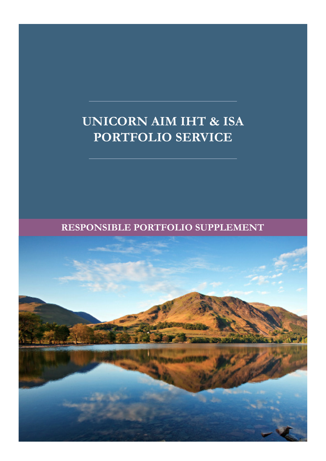# **UNICORN AIM IHT & ISA PORTFOLIO SERVICE**

**RESPONSIBLE PORTFOLIO SUPPLEMENT**

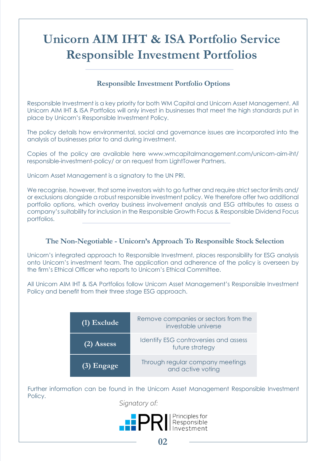# **Unicorn AIM IHT & ISA Portfolio Service Responsible Investment Portfolios**

## **Responsible Investment Portfolio Options**

Responsible Investment is a key priority for both WM Capital and Unicorn Asset Management. All Unicorn AIM IHT & ISA Portfolios will only invest in businesses that meet the high standards put in place by Unicorn's Responsible Investment Policy.

The policy details how environmental, social and governance issues are incorporated into the analysis of businesses prior to and during investment.

Copies of the policy are available here www.wmcapitalmanagement.com/unicorn-aim-iht/ responsible-investment-policy/ or on request from LightTower Partners.

Unicorn Asset Management is a signatory to the UN PRI.

We recognise, however, that some investors wish to go further and require strict sector limits and/ or exclusions alongside a robust responsible investment policy. We therefore offer two additional portfolio options, which overlay business involvement analysis and ESG attributes to assess a company's suitability for inclusion in the Responsible Growth Focus & Responsible Dividend Focus portfolios.

## **The Non-Negotiable - Unicorn's Approach To Responsible Stock Selection**

Unicorn's integrated approach to Responsible Investment, places responsibility for ESG analysis onto Unicorn's investment team. The application and adherence of the policy is overseen by the firm's Ethical Officer who reports to Unicorn's Ethical Committee.

All Unicorn AIM IHT & ISA Portfolios follow Unicorn Asset Management's Responsible Investment Policy and benefit from their three stage ESG approach.

| (1) Exclude  | Remove companies or sectors from the<br>investable universe |
|--------------|-------------------------------------------------------------|
| $(2)$ Assess | Identify ESG controversies and assess<br>future strategy    |
| $(3)$ Engage | Through regular company meetings<br>and active voting       |

Further information can be found in the Unicorn Asset Management Responsible Investment Policy.

Signatory of:

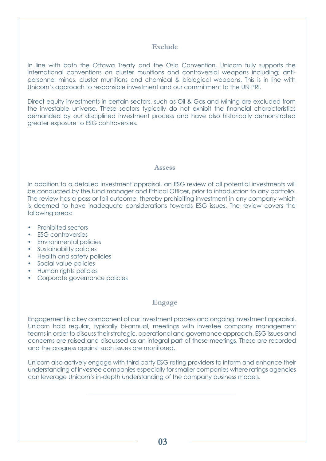#### **Exclude**

In line with both the Ottawa Treaty and the Oslo Convention, Unicorn fully supports the international conventions on cluster munitions and controversial weapons including; antipersonnel mines, cluster munitions and chemical & biological weapons. This is in line with Unicorn's approach to responsible investment and our commitment to the UN PRI.

Direct equity investments in certain sectors, such as Oil & Gas and Mining are excluded from the investable universe. These sectors typically do not exhibit the financial characteristics demanded by our disciplined investment process and have also historically demonstrated greater exposure to ESG controversies.

#### **Assess**

In addition to a detailed investment appraisal, an ESG review of all potential investments will be conducted by the fund manager and Ethical Officer, prior to introduction to any portfolio. The review has a pass or fail outcome, thereby prohibiting investment in any company which is deemed to have inadequate considerations towards ESG issues. The review covers the following areas:

- Prohibited sectors
- **ESG** controversies
- Environmental policies
- Sustainability policies
- Health and safety policies
- Social value policies
- Human rights policies
- Corporate governance policies

### **Engage**

Engagement is a key component of our investment process and ongoing investment appraisal. Unicorn hold regular, typically bi-annual, meetings with investee company management teams in order to discuss their strategic, operational and governance approach. ESG issues and concerns are raised and discussed as an integral part of these meetings. These are recorded and the progress against such issues are monitored.

Unicorn also actively engage with third party ESG rating providers to inform and enhance their understanding of investee companies especially for smaller companies where ratings agencies can leverage Unicorn's in-depth understanding of the company business models.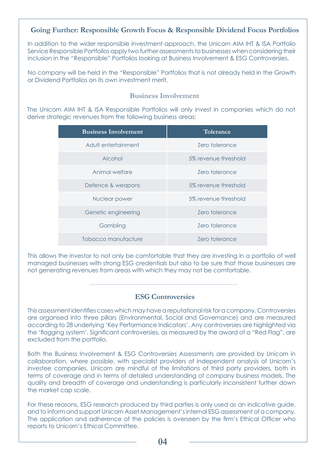### **Going Further: Responsible Growth Focus & Responsible Dividend Focus Portfolios**

In addition to the wider responsible investment approach, the Unicorn AIM IHT & ISA Portfolio Service Responsible Portfolios apply two further assessments to businesses when considering their inclusion in the "Responsible" Portfolios looking at Business Involvement & ESG Controversies.

No company will be held in the "Responsible" Portfolios that is not already held in the Growth or Dividend Portfolios on its own investment merit.

#### **Business Involvement**

The Unicorn AIM IHT & ISA Responsible Portfolios will only invest in companies which do not derive strategic revenues from the following business areas:

| <b>Business Involvement</b> | Tolerance             |
|-----------------------------|-----------------------|
| Adult entertainment         | <b>Zero tolerance</b> |
| Alcohol                     | 5% revenue threshold  |
| Animal welfare              | Zero tolerance        |
| Defence & weapons           | 5% revenue threshold  |
| Nuclear power               | 5% revenue threshold  |
| Genetic engineering         | <b>Zero tolerance</b> |
| Gambling                    | Zero tolerance        |
| Tobacco manufacture         | Zero tolerance        |

This allows the investor to not only be comfortable that they are investing in a portfolio of well managed businesses with strong ESG credentials but also to be sure that those businesses are not generating revenues from areas with which they may not be comfortable.

#### **ESG Controversies**

This assessment identifies cases which may have a reputational risk for a company. Controversies are organised into three pillars (Environmental, Social and Governance) and are measured according to 28 underlying 'Key Performance Indicators'. Any controversies are highlighted via the 'flagging system'. Significant controversies, as measured by the award of a "Red Flag", are excluded from the portfolio.

Both the Business Involvement & ESG Controversies Assessments are provided by Unicorn in collaboration, where possible, with specialist providers of independent analysis of Unicorn's investee companies. Unicorn are mindful of the limitations of third party providers, both in terms of coverage and in terms of detailed understanding of company business models. The quality and breadth of coverage and understanding is particularly inconsistent further down the market cap scale.

For these reasons, ESG research produced by third parties is only used as an indicative guide, and to inform and support Unicorn Asset Management's internal ESG assessment of a company. The application and adherence of the policies is overseen by the firm's Ethical Officer who reports to Unicorn's Ethical Committee.